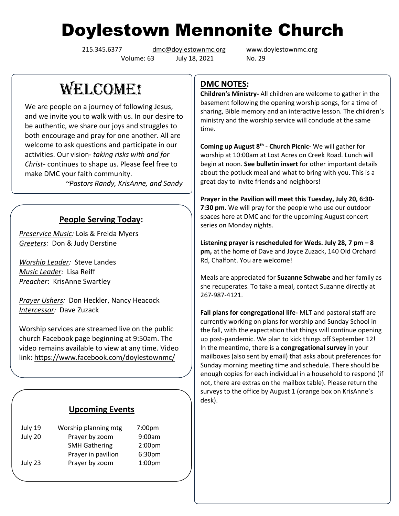# Doylestown Mennonite Church

Volume: 63 July 18, 2021 No. 29

215.345.6377 [dmc@doylestownmc.org](mailto:dmc@doylestownmc.org) www.doylestownmc.org

WELCOME!

We are people on a journey of following Jesus, and we invite you to walk with us. In our desire to be authentic, we share our joys and struggles to both encourage and pray for one another. All are welcome to ask questions and participate in our activities. Our vision- *taking risks with and for Christ*- continues to shape us. Please feel free to make DMC your faith community.

 *~Pastors Randy, KrisAnne, and Sandy*

## **People Serving Today:**

*Preservice Music:* Lois & Freida Myers *Greeters:* Don & Judy Derstine

*Worship Leader:* Steve Landes *Music Leader:* Lisa Reiff *Preacher*: KrisAnne Swartley

*Prayer Ushers:* Don Heckler, Nancy Heacock *Intercessor:* Dave Zuzack

Worship services are streamed live on the public church Facebook page beginning at 9:50am. The video remains available to view at any time. Video link: <https://www.facebook.com/doylestownmc/>

## **Upcoming Events**

| July 19 | Worship planning mtg | 7:00 <sub>pm</sub> |  |
|---------|----------------------|--------------------|--|
| July 20 | Prayer by zoom       | 9:00am             |  |
|         | <b>SMH Gathering</b> | 2:00 <sub>pm</sub> |  |
|         | Prayer in pavilion   | 6:30pm             |  |
| July 23 | Prayer by zoom       | 1:00 <sub>pm</sub> |  |

## **DMC NOTES:**

**Children's Ministry-** All children are welcome to gather in the basement following the opening worship songs, for a time of sharing, Bible memory and an interactive lesson. The children's ministry and the worship service will conclude at the same time.

**Coming up August 8th - Church Picnic-** We will gather for worship at 10:00am at Lost Acres on Creek Road. Lunch will begin at noon. **See bulletin insert** for other important details about the potluck meal and what to bring with you. This is a great day to invite friends and neighbors!

**Prayer in the Pavilion will meet this Tuesday, July 20, 6:30- 7:30 pm.** We will pray for the people who use our outdoor spaces here at DMC and for the upcoming August concert series on Monday nights.

**Listening prayer is rescheduled for Weds. July 28, 7 pm – 8 pm,** at the home of Dave and Joyce Zuzack, 140 Old Orchard Rd, Chalfont. You are welcome!

Meals are appreciated for **Suzanne Schwabe** and her family as she recuperates. To take a meal, contact Suzanne directly at 267-987-4121.

**Fall plans for congregational life-** MLT and pastoral staff are currently working on plans for worship and Sunday School in the fall, with the expectation that things will continue opening up post-pandemic. We plan to kick things off September 12! In the meantime, there is a **congregational survey** in your mailboxes (also sent by email) that asks about preferences for Sunday morning meeting time and schedule. There should be enough copies for each individual in a household to respond (if not, there are extras on the mailbox table). Please return the surveys to the office by August 1 (orange box on KrisAnne's desk).